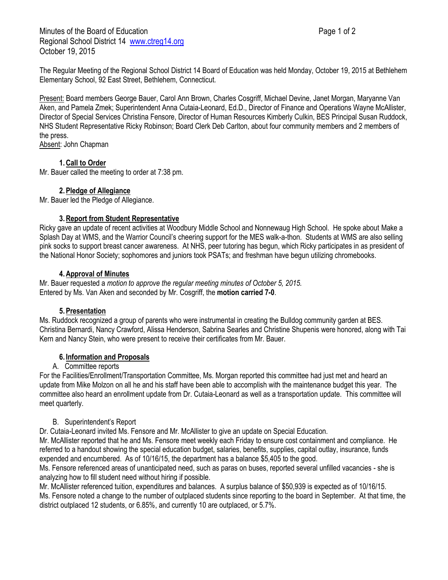Minutes of the Board of Education **Page 1 of 2** and 2 Regional School District 14 [www.ctreg14.org](http://www.ctreg14.org/) October 19, 2015

The Regular Meeting of the Regional School District 14 Board of Education was held Monday, October 19, 2015 at Bethlehem Elementary School, 92 East Street, Bethlehem, Connecticut.

Present: Board members George Bauer, Carol Ann Brown, Charles Cosgriff, Michael Devine, Janet Morgan, Maryanne Van Aken, and Pamela Zmek; Superintendent Anna Cutaia-Leonard, Ed.D., Director of Finance and Operations Wayne McAllister, Director of Special Services Christina Fensore, Director of Human Resources Kimberly Culkin, BES Principal Susan Ruddock, NHS Student Representative Ricky Robinson; Board Clerk Deb Carlton, about four community members and 2 members of the press.

Absent: John Chapman

# **1.Call to Order**

Mr. Bauer called the meeting to order at 7:38 pm.

# **2.Pledge of Allegiance**

Mr. Bauer led the Pledge of Allegiance.

#### **3.Report from Student Representative**

Ricky gave an update of recent activities at Woodbury Middle School and Nonnewaug High School. He spoke about Make a Splash Day at WMS, and the Warrior Council's cheering support for the MES walk-a-thon. Students at WMS are also selling pink socks to support breast cancer awareness. At NHS, peer tutoring has begun, which Ricky participates in as president of the National Honor Society; sophomores and juniors took PSATs; and freshman have begun utilizing chromebooks.

#### **4.Approval of Minutes**

Mr. Bauer requested a *motion to approve the regular meeting minutes of October 5, 2015.* Entered by Ms. Van Aken and seconded by Mr. Cosgriff, the **motion carried 7-0**.

#### **5.Presentation**

Ms. Ruddock recognized a group of parents who were instrumental in creating the Bulldog community garden at BES. Christina Bernardi, Nancy Crawford, Alissa Henderson, Sabrina Searles and Christine Shupenis were honored, along with Tai Kern and Nancy Stein, who were present to receive their certificates from Mr. Bauer.

#### **6. Information and Proposals**

#### A. Committee reports

For the Facilities/Enrollment/Transportation Committee, Ms. Morgan reported this committee had just met and heard an update from Mike Molzon on all he and his staff have been able to accomplish with the maintenance budget this year. The committee also heard an enrollment update from Dr. Cutaia-Leonard as well as a transportation update. This committee will meet quarterly.

#### B. Superintendent's Report

Dr. Cutaia-Leonard invited Ms. Fensore and Mr. McAllister to give an update on Special Education.

Mr. McAllister reported that he and Ms. Fensore meet weekly each Friday to ensure cost containment and compliance. He referred to a handout showing the special education budget, salaries, benefits, supplies, capital outlay, insurance, funds expended and encumbered. As of 10/16/15, the department has a balance \$5,405 to the good.

Ms. Fensore referenced areas of unanticipated need, such as paras on buses, reported several unfilled vacancies - she is analyzing how to fill student need without hiring if possible.

Mr. McAllister referenced tuition, expenditures and balances. A surplus balance of \$50,939 is expected as of 10/16/15. Ms. Fensore noted a change to the number of outplaced students since reporting to the board in September. At that time, the district outplaced 12 students, or 6.85%, and currently 10 are outplaced, or 5.7%.